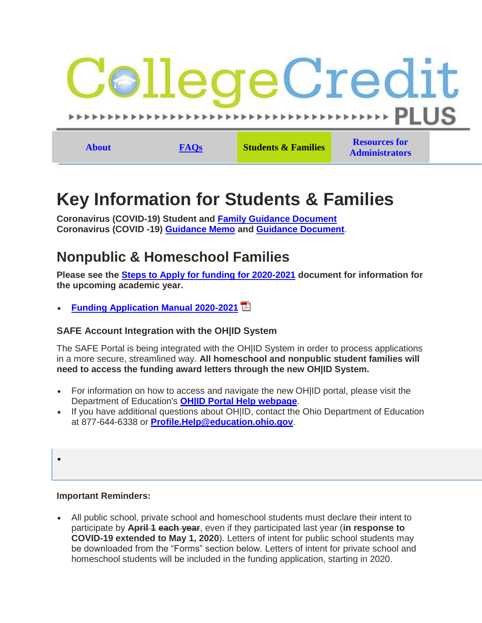

# **Key Information for Students & Families**

**Coronavirus (COVID-19) Student and [Family Guidance Document](https://www.ohiohighered.org/sites/default/files/uploads/CCP/Family%20College%20Credit%20Plus%20Guidance%204%206%202020.pdf) Coronavirus (COVID -19) [Guidance Memo](https://www.ohiohighered.org/sites/default/files/uploads/CCP/CCP%20Guidance%20Memo.pdf) and [Guidance Document](https://www.ohiohighered.org/sites/default/files/uploads/CCP/College%20Credit%20Plus%20Guidance%203%2027%202020.FINAL_.pdf)**.

## **Nonpublic & Homeschool Families**

**Please see the [Steps to Apply for funding for 2020-2021](https://www.ohiohighered.org/sites/default/files/uploads/CCP/resources/Steps_to_Apply%209%2012%2019.pdf) document for information for the upcoming academic year.**

**[Funding Application Manual 2020-2021](https://www.ohiohighered.org/sites/default/files/uploads/CCP/resources/CCP-Application-Manual_2020-2021.pdf)**

### **SAFE Account Integration with the OH|ID System**

The SAFE Portal is being integrated with the OH|ID System in order to process applications in a more secure, streamlined way. **All homeschool and nonpublic student families will need to access the funding award letters through the new OH|ID System.**

- For information on how to access and navigate the new OHIID portal, please visit the Department of Education's **[OH|ID Portal Help webpage](http://education.ohio.gov/Topics/Department-of-Education-OH-ID-Portal-Help)**.
- If you have additional questions about OH|ID, contact the Ohio Department of Education at 877-644-6338 or **[Profile.Help@education.ohio.gov](mailto:Profile.Help@education.ohio.gov)**.
- $\bullet$

#### **Important Reminders:**

 All public school, private school and homeschool students must declare their intent to participate by **April 1 each year**, even if they participated last year (**in response to COVID-19 extended to May 1, 2020**). Letters of intent for public school students may be downloaded from the "Forms" section below. Letters of intent for private school and homeschool students will be included in the funding application, starting in 2020.